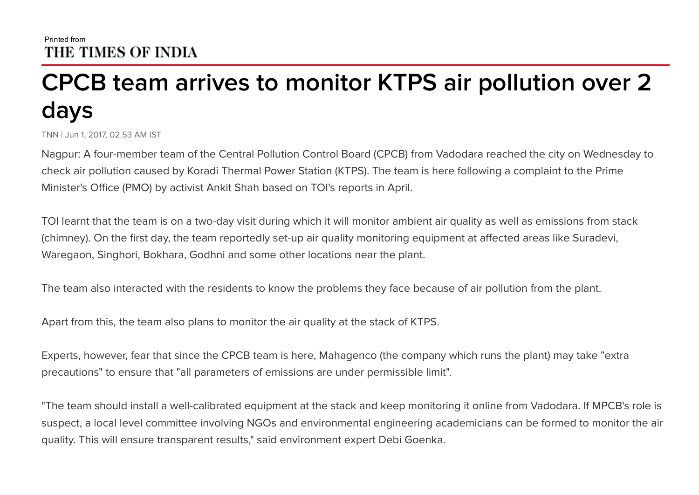## CPCB team arrives to monitor KTPS air pollution over 2 days

TNN | Jun 1, 2017, 02.53 AM IST

Nagpur: A four-member team of the Central Pollution Control Board (CPCB) from Vadodara reached the city on Wednesday to check air pollution caused by Koradi Thermal Power Station (KTPS). The team is here following a complaint to the Prime Minister's Office (PMO) by activist Ankit Shah based on TOI's reports in April.

TOI learnt that the team is on a two-day visit during which it will monitor ambient air quality as well as emissions from stack (chimney). On the first day, the team reportedly set-up air quality monitoring equipment at affected areas like Suradevi, Waregaon, Singhori, Bokhara, Godhni and some other locations near the plant.

The team also interacted with the residents to know the problems they face because of air pollution from the plant.

Apart from this, the team also plans to monitor the air quality at the stack of KTPS.

Experts, however, fear that since the CPCB team is here, Mahagenco (the company which runs the plant) may take "extra precautions" to ensure that "all parameters of emissions are under permissible limit".

"The team should install a well-calibrated equipment at the stack and keep monitoring it online from Vadodara. If MPCB's role is suspect, a local level committee involving NGOs and environmental engineering academicians can be formed to monitor the air quality. This will ensure transparent results," said environment expert Debi Goenka.